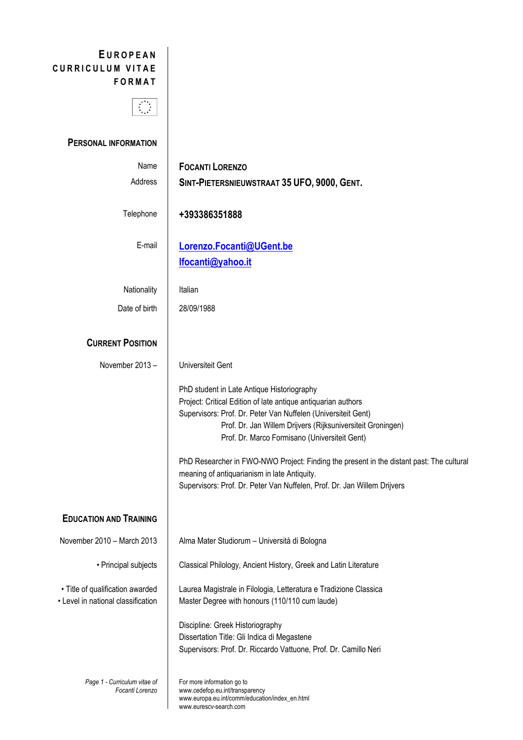## **E UROPEAN CURRICULUM VITAE FORMAT**



## **PERSONAL INFORMATION**

| Name<br>Address                                                        | <b>FOCANTI LORENZO</b><br>SINT-PIETERSNIEUWSTRAAT 35 UFO, 9000, GENT.                                                                                                                                                                                                                                                                                                                                                                                                                                                |
|------------------------------------------------------------------------|----------------------------------------------------------------------------------------------------------------------------------------------------------------------------------------------------------------------------------------------------------------------------------------------------------------------------------------------------------------------------------------------------------------------------------------------------------------------------------------------------------------------|
| Telephone                                                              | +393386351888                                                                                                                                                                                                                                                                                                                                                                                                                                                                                                        |
| E-mail                                                                 | Lorenzo.Focanti@UGent.be<br>Ifocanti@yahoo.it                                                                                                                                                                                                                                                                                                                                                                                                                                                                        |
| Nationality                                                            | Italian                                                                                                                                                                                                                                                                                                                                                                                                                                                                                                              |
| Date of birth                                                          | 28/09/1988                                                                                                                                                                                                                                                                                                                                                                                                                                                                                                           |
|                                                                        |                                                                                                                                                                                                                                                                                                                                                                                                                                                                                                                      |
| <b>CURRENT POSITION</b>                                                |                                                                                                                                                                                                                                                                                                                                                                                                                                                                                                                      |
| November 2013-                                                         | Universiteit Gent                                                                                                                                                                                                                                                                                                                                                                                                                                                                                                    |
|                                                                        | PhD student in Late Antique Historiography<br>Project: Critical Edition of late antique antiquarian authors<br>Supervisors: Prof. Dr. Peter Van Nuffelen (Universiteit Gent)<br>Prof. Dr. Jan Willem Drijvers (Rijksuniversiteit Groningen)<br>Prof. Dr. Marco Formisano (Universiteit Gent)<br>PhD Researcher in FWO-NWO Project: Finding the present in the distant past: The cultural<br>meaning of antiquarianism in late Antiquity.<br>Supervisors: Prof. Dr. Peter Van Nuffelen, Prof. Dr. Jan Willem Drijvers |
|                                                                        |                                                                                                                                                                                                                                                                                                                                                                                                                                                                                                                      |
| <b>EDUCATION AND TRAINING</b>                                          |                                                                                                                                                                                                                                                                                                                                                                                                                                                                                                                      |
| November 2010 - March 2013                                             | Alma Mater Studiorum - Università di Bologna                                                                                                                                                                                                                                                                                                                                                                                                                                                                         |
| • Principal subjects                                                   | Classical Philology, Ancient History, Greek and Latin Literature                                                                                                                                                                                                                                                                                                                                                                                                                                                     |
| • Title of qualification awarded<br>• Level in national classification | Laurea Magistrale in Filologia, Letteratura e Tradizione Classica<br>Master Degree with honours (110/110 cum laude)                                                                                                                                                                                                                                                                                                                                                                                                  |
|                                                                        | Discipline: Greek Historiography<br>Dissertation Title: Gli Indica di Megastene<br>Supervisors: Prof. Dr. Riccardo Vattuone, Prof. Dr. Camillo Neri                                                                                                                                                                                                                                                                                                                                                                  |
| Page 1 - Curriculum vitae of<br>Focanti Lorenzo                        | For more information go to<br>www.cedefop.eu.int/transparency<br>www.europa.eu.int/comm/education/index_en.html<br>www.eurescv-search.com                                                                                                                                                                                                                                                                                                                                                                            |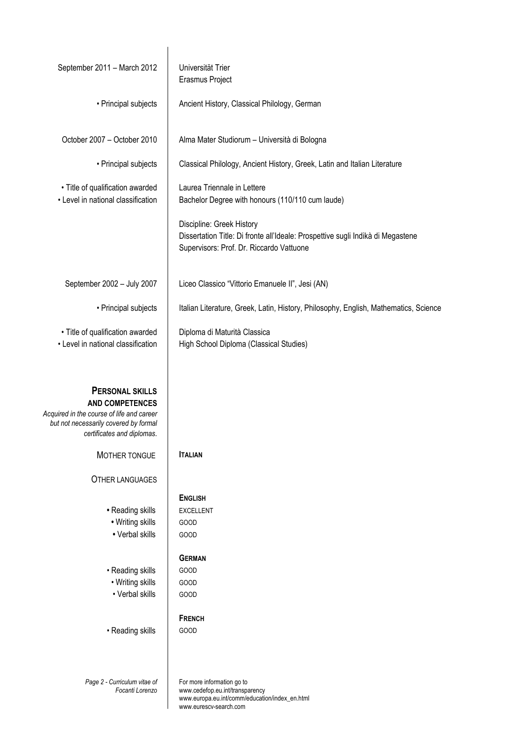| September 2011 - March 2012                                                                                                                                          | Universität Trier<br>Erasmus Project                                                                                                                     |
|----------------------------------------------------------------------------------------------------------------------------------------------------------------------|----------------------------------------------------------------------------------------------------------------------------------------------------------|
| • Principal subjects                                                                                                                                                 | Ancient History, Classical Philology, German                                                                                                             |
| October 2007 - October 2010                                                                                                                                          | Alma Mater Studiorum - Università di Bologna                                                                                                             |
| • Principal subjects                                                                                                                                                 | Classical Philology, Ancient History, Greek, Latin and Italian Literature                                                                                |
| · Title of qualification awarded<br>• Level in national classification                                                                                               | Laurea Triennale in Lettere<br>Bachelor Degree with honours (110/110 cum laude)                                                                          |
|                                                                                                                                                                      | Discipline: Greek History<br>Dissertation Title: Di fronte all'Ideale: Prospettive sugli Indikà di Megastene<br>Supervisors: Prof. Dr. Riccardo Vattuone |
| September 2002 - July 2007                                                                                                                                           | Liceo Classico "Vittorio Emanuele II", Jesi (AN)                                                                                                         |
| • Principal subjects                                                                                                                                                 | Italian Literature, Greek, Latin, History, Philosophy, English, Mathematics, Science                                                                     |
| • Title of qualification awarded<br>• Level in national classification                                                                                               | Diploma di Maturità Classica<br>High School Diploma (Classical Studies)                                                                                  |
| <b>PERSONAL SKILLS</b><br><b>AND COMPETENCES</b><br>Acquired in the course of life and career<br>but not necessarily covered by formal<br>certificates and diplomas. |                                                                                                                                                          |
| MOTHER TONGUE                                                                                                                                                        | <b>ITALIAN</b>                                                                                                                                           |
| <b>OTHER LANGUAGES</b>                                                                                                                                               |                                                                                                                                                          |
| • Reading skills<br>• Writing skills<br>• Verbal skills                                                                                                              | <b>ENGLISH</b><br><b>EXCELLENT</b><br>GOOD<br><b>GOOD</b>                                                                                                |
| • Reading skills<br>• Writing skills<br>• Verbal skills                                                                                                              | <b>GERMAN</b><br><b>GOOD</b><br>GOOD<br>GOOD                                                                                                             |
| • Reading skills                                                                                                                                                     | <b>FRENCH</b><br>GOOD                                                                                                                                    |
| Page 2 - Curriculum vitae of<br>Focanti Lorenzo                                                                                                                      | For more information go to<br>www.cedefop.eu.int/transparency<br>www.europa.eu.int/comm/education/index_en.html<br>www.eurescv-search.com                |